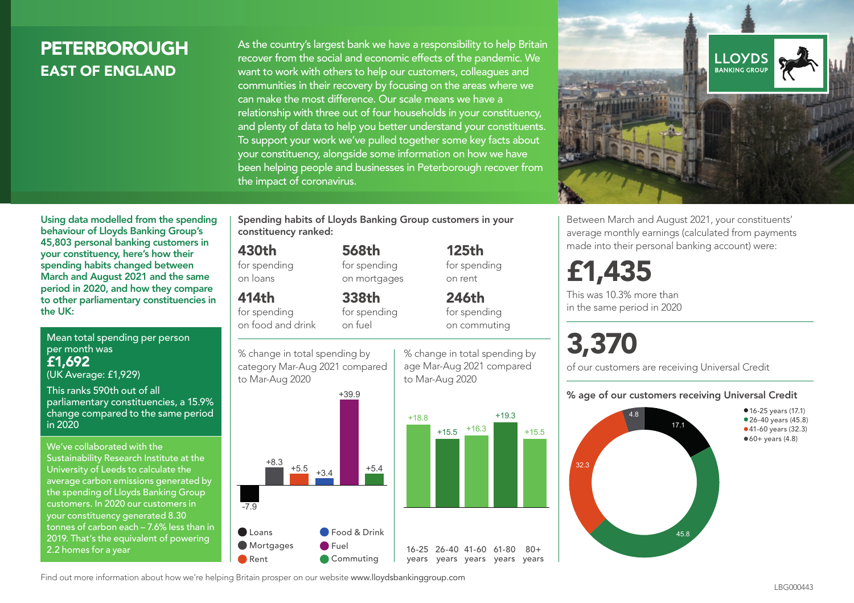# **PETERBOROUGH** EAST OF ENGLAND

As the country's largest bank we have a responsibility to help Britain recover from the social and economic effects of the pandemic. We want to work with others to help our customers, colleagues and communities in their recovery by focusing on the areas where we can make the most difference. Our scale means we have a relationship with three out of four households in your constituency, and plenty of data to help you better understand your constituents. To support your work we've pulled together some key facts about your constituency, alongside some information on how we have been helping people and businesses in Peterborough recover from the impact of coronavirus.



Between March and August 2021, your constituents' average monthly earnings (calculated from payments made into their personal banking account) were:

# £1,435

This was 10.3% more than in the same period in 2020

# 3,370

of our customers are receiving Universal Credit

#### % age of our customers receiving Universal Credit



Using data modelled from the spending behaviour of Lloyds Banking Group's 45,803 personal banking customers in your constituency, here's how their spending habits changed between March and August 2021 and the same period in 2020, and how they compare to other parliamentary constituencies in the UK:

Mean total spending per person per month was £1,692 (UK Average: £1,929)

This ranks 590th out of all parliamentary constituencies, a 15.9% change compared to the same period in 2020

We've collaborated with the Sustainability Research Institute at the University of Leeds to calculate the average carbon emissions generated by the spending of Lloyds Banking Group customers. In 2020 our customers in your constituency generated 8.30 tonnes of carbon each – 7.6% less than in 2019. That's the equivalent of powering 2.2 homes for a year

Spending habits of Lloyds Banking Group customers in your constituency ranked:

> 568th for spending on mortgages

338th

#### 430th

for spending on loans

#### 414th

for spending on food and drink

for spending on fuel

% change in total spending by category Mar-Aug 2021 compared to Mar-Aug 2020



to Mar-Aug 2020

125th for spending on rent

246th for spending on commuting

 $+15.5$   $+16.3$ 

+19.3

 $80 +$ 





Find out more information about how we're helping Britain prosper on our website www.lloydsbankinggroup.com